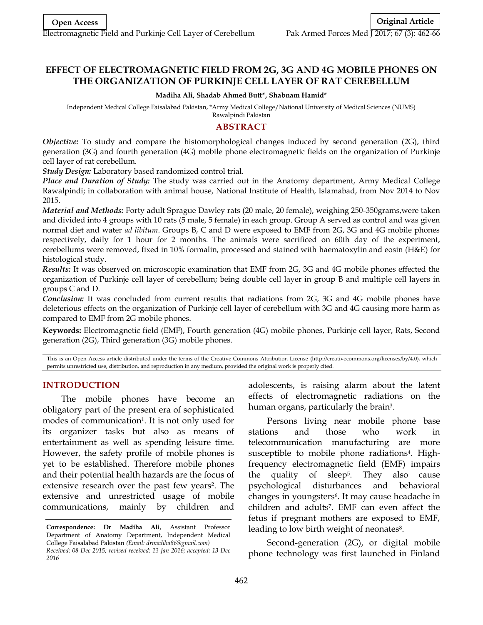# **EFFECT OF ELECTROMAGNETIC FIELD FROM 2G, 3G AND 4G MOBILE PHONES ON THE ORGANIZATION OF PURKINJE CELL LAYER OF RAT CEREBELLUM**

#### **Madiha Ali, Shadab Ahmed Butt\*, Shabnam Hamid\***

Independent Medical College Faisalabad Pakistan, \*Army Medical College/National University of Medical Sciences (NUMS) Rawalpindi Pakistan

### **ABSTRACT**

*Objective:* To study and compare the histomorphological changes induced by second generation (2G), third generation (3G) and fourth generation (4G) mobile phone electromagnetic fields on the organization of Purkinje cell layer of rat cerebellum.

*Study Design:* Laboratory based randomized control trial.

*Place and Duration of Study:* The study was carried out in the Anatomy department, Army Medical College Rawalpindi; in collaboration with animal house, National Institute of Health, Islamabad, from Nov 2014 to Nov 2015.

*Material and Methods:* Forty adult Sprague Dawley rats (20 male, 20 female), weighing 250-350grams,were taken and divided into 4 groups with 10 rats (5 male, 5 female) in each group. Group A served as control and was given normal diet and water *ad libitum*. Groups B, C and D were exposed to EMF from 2G, 3G and 4G mobile phones respectively, daily for 1 hour for 2 months. The animals were sacrificed on 60th day of the experiment, cerebellums were removed, fixed in 10% formalin, processed and stained with haematoxylin and eosin (H&E) for histological study.

*Results:* It was observed on microscopic examination that EMF from 2G, 3G and 4G mobile phones effected the organization of Purkinje cell layer of cerebellum; being double cell layer in group B and multiple cell layers in groups C and D.

*Conclusion:* It was concluded from current results that radiations from 2G, 3G and 4G mobile phones have deleterious effects on the organization of Purkinje cell layer of cerebellum with 3G and 4G causing more harm as compared to EMF from 2G mobile phones.

**Keywords:** Electromagnetic field (EMF), Fourth generation (4G) mobile phones, Purkinje cell layer, Rats, Second generation (2G), Third generation (3G) mobile phones.

This is an Open Access article distributed under the terms of the Creative Commons Attribution License (http://creativecommons.org/licenses/by/4.0), which permits unrestricted use, distribution, and reproduction in any medium, provided the original work is properly cited.

### **INTRODUCTION**

The mobile phones have become an obligatory part of the present era of sophisticated modes of communication<sup>1</sup>. It is not only used for its organizer tasks but also as means of entertainment as well as spending leisure time. However, the safety profile of mobile phones is yet to be established. Therefore mobile phones and their potential health hazards are the focus of extensive research over the past few years<sup>2</sup>. The extensive and unrestricted usage of mobile communications, mainly by children and

adolescents, is raising alarm about the latent effects of electromagnetic radiations on the human organs, particularly the brain<sup>3</sup>.

Persons living near mobile phone base stations and those who work in telecommunication manufacturing are more susceptible to mobile phone radiations 4. Highfrequency electromagnetic field (EMF) impairs the quality of sleep5. They also cause psychological disturbances and behavioral changes in youngsters6. It may cause headache in children and adults7. EMF can even affect the fetus if pregnant mothers are exposed to EMF, leading to low birth weight of neonates<sup>8</sup>.

Second-generation (2G), or digital mobile phone technology was first launched in Finland

**Correspondence: Dr Madiha Ali,** Assistant Professor Department of Anatomy Department, Independent Medical College Faisalabad Pakistan *(Email: drmadiha86@gmail.com) Received: 08 Dec 2015; revised received: 13 Jan 2016; accepted: 13 Dec 2016*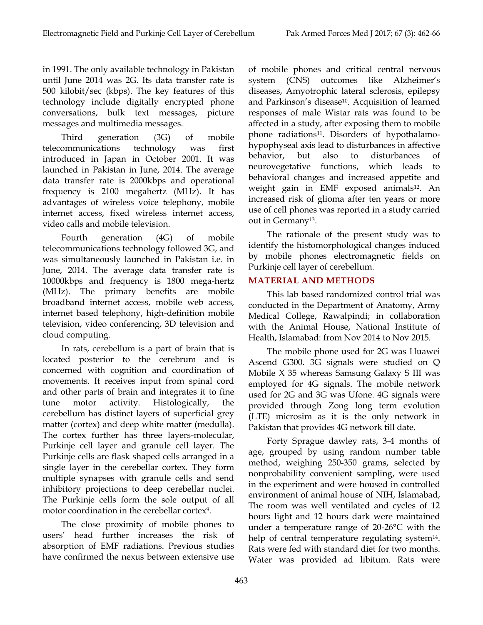in 1991. The only available technology in Pakistan until June 2014 was 2G. Its data transfer rate is 500 kilobit/sec (kbps). The key features of this technology include digitally encrypted phone conversations, bulk text messages, picture messages and multimedia messages.

Third generation (3G) of mobile telecommunications technology was first introduced in Japan in October 2001. It was launched in Pakistan in June, 2014. The average data transfer rate is 2000kbps and operational frequency is 2100 megahertz (MHz). It has advantages of wireless voice telephony, mobile internet access, fixed wireless internet access, video calls and mobile television.

Fourth generation (4G) of mobile telecommunications technology followed 3G, and was simultaneously launched in Pakistan i.e. in June, 2014. The average data transfer rate is 10000kbps and frequency is 1800 mega-hertz (MHz). The primary benefits are mobile broadband internet access, mobile web access, internet based telephony, high-definition mobile television, video conferencing, 3D television and cloud computing.

In rats, cerebellum is a part of brain that is located posterior to the cerebrum and is concerned with cognition and coordination of movements. It receives input from spinal cord and other parts of brain and integrates it to fine tune motor activity. Histologically, the cerebellum has distinct layers of superficial grey matter (cortex) and deep white matter (medulla). The cortex further has three layers-molecular, Purkinje cell layer and granule cell layer. The Purkinje cells are flask shaped cells arranged in a single layer in the cerebellar cortex. They form multiple synapses with granule cells and send inhibitory projections to deep cerebellar nuclei. The Purkinje cells form the sole output of all motor coordination in the cerebellar cortex<sup>9</sup>.

The close proximity of mobile phones to users' head further increases the risk of absorption of EMF radiations. Previous studies have confirmed the nexus between extensive use of mobile phones and critical central nervous system (CNS) outcomes like Alzheimer's diseases, Amyotrophic lateral sclerosis, epilepsy and Parkinson's disease10. Acquisition of learned responses of male Wistar rats was found to be affected in a study, after exposing them to mobile phone radiations<sup>11</sup>. Disorders of hypothalamohypophyseal axis lead to disturbances in affective behavior, but also to disturbances of neurovegetative functions, which leads to behavioral changes and increased appetite and weight gain in EMF exposed animals<sup>12</sup>. An increased risk of glioma after ten years or more use of cell phones was reported in a study carried out in Germany13.

The rationale of the present study was to identify the histomorphological changes induced by mobile phones electromagnetic fields on Purkinje cell layer of cerebellum.

# **MATERIAL AND METHODS**

This lab based randomized control trial was conducted in the Department of Anatomy, Army Medical College, Rawalpindi; in collaboration with the Animal House, National Institute of Health, Islamabad: from Nov 2014 to Nov 2015.

The mobile phone used for 2G was Huawei Ascend G300. 3G signals were studied on Q Mobile X 35 whereas Samsung Galaxy S III was employed for 4G signals. The mobile network used for 2G and 3G was Ufone. 4G signals were provided through Zong long term evolution (LTE) microsim as it is the only network in Pakistan that provides 4G network till date.

Forty Sprague dawley rats, 3-4 months of age, grouped by using random number table method, weighing 250-350 grams, selected by nonprobability convenient sampling, were used in the experiment and were housed in controlled environment of animal house of NIH, Islamabad, The room was well ventilated and cycles of 12 hours light and 12 hours dark were maintained under a temperature range of 20-26°C with the help of central temperature regulating system<sup>14</sup>. Rats were fed with standard diet for two months. Water was provided ad libitum. Rats were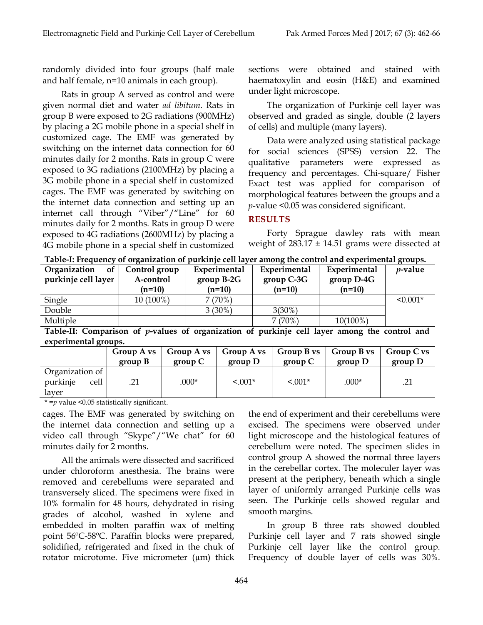randomly divided into four groups (half male and half female, n=10 animals in each group).

Rats in group A served as control and were given normal diet and water *ad libitum*. Rats in group B were exposed to 2G radiations (900MHz) by placing a 2G mobile phone in a special shelf in customized cage. The EMF was generated by switching on the internet data connection for 60 minutes daily for 2 months. Rats in group C were exposed to 3G radiations (2100MHz) by placing a 3G mobile phone in a special shelf in customized cages. The EMF was generated by switching on the internet data connection and setting up an internet call through "Viber"/"Line" for 60 minutes daily for 2 months. Rats in group D were exposed to 4G radiations (2600MHz) by placing a 4G mobile phone in a special shelf in customized

sections were obtained and stained with haematoxylin and eosin (H&E) and examined under light microscope.

The organization of Purkinje cell layer was observed and graded as single, double (2 layers of cells) and multiple (many layers).

Data were analyzed using statistical package for social sciences (SPSS) version 22. The qualitative parameters were expressed as frequency and percentages. Chi-square/ Fisher Exact test was applied for comparison of morphological features between the groups and a *p*-value <0.05 was considered significant.

**RESULTS**

Forty Sprague dawley rats with mean weight of  $283.17 \pm 14.51$  grams were dissected at

|  |  | Table-I: Frequency of organization of purkinje cell layer among the control and experimental groups. |
|--|--|------------------------------------------------------------------------------------------------------|
|  |  |                                                                                                      |

| Organization<br><b>of</b><br>purkinje cell layer | Control group<br>A-control<br>$(n=10)$ | Experimental<br>$group B-2G$<br>$(n=10)$ | Experimental<br>$group C-3G$<br>$(n=10)$ | Experimental<br>$group D-4G$<br>$(n=10)$ | $p$ -value    |
|--------------------------------------------------|----------------------------------------|------------------------------------------|------------------------------------------|------------------------------------------|---------------|
| Single                                           | 10 (100%)                              | $7(70\%)$                                |                                          |                                          | $\leq 0.001*$ |
| Double                                           |                                        | $3(30\%)$                                | $3(30\%)$                                |                                          |               |
| Multiple                                         |                                        |                                          | $7(70\%)$                                | 10(100%)                                 |               |

**Table-II: Comparison of** *p***-values of organization of purkinje cell layer among the control and experimental groups.**

|                                                      | Group A vs $\vert$<br>group B | <b>Group A vs</b><br>group C | Group A vs $\vert$<br>group D | group C   | Group B vs $\vert$ Group B vs $\vert$ Group C vs<br>group D | group D |
|------------------------------------------------------|-------------------------------|------------------------------|-------------------------------|-----------|-------------------------------------------------------------|---------|
| Organization of $\vert$<br>purkinje<br>cell<br>laver | .21                           | $.000*$                      | $< 0.01*$                     | $< 0.01*$ | $.000*$                                                     |         |

\* =*p* value <0.05 statistically significant.

cages. The EMF was generated by switching on the internet data connection and setting up a video call through "Skype"/"We chat" for 60 minutes daily for 2 months.

All the animals were dissected and sacrificed under chloroform anesthesia. The brains were removed and cerebellums were separated and transversely sliced. The specimens were fixed in 10% formalin for 48 hours, dehydrated in rising grades of alcohol, washed in xylene and embedded in molten paraffin wax of melting point 56ºC-58ºC. Paraffin blocks were prepared, solidified, refrigerated and fixed in the chuk of rotator microtome. Five micrometer (µm) thick

the end of experiment and their cerebellums were excised. The specimens were observed under light microscope and the histological features of cerebellum were noted. The specimen slides in control group A showed the normal three layers in the cerebellar cortex. The moleculer layer was present at the periphery, beneath which a single layer of uniformly arranged Purkinje cells was seen. The Purkinje cells showed regular and smooth margins.

In group B three rats showed doubled Purkinje cell layer and 7 rats showed single Purkinje cell layer like the control group. Frequency of double layer of cells was 30%.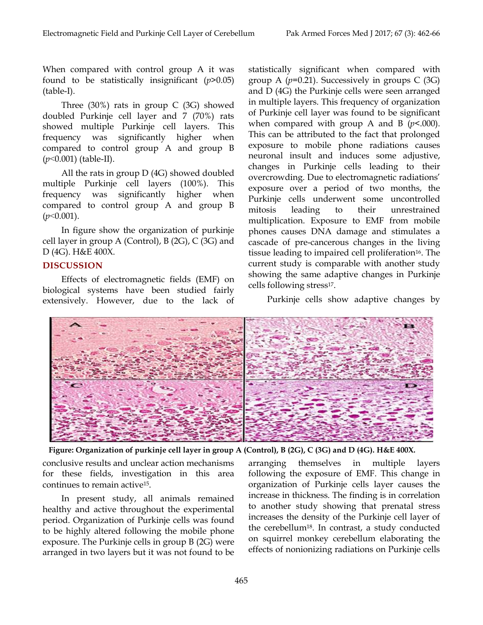When compared with control group A it was found to be statistically insignificant (*p*>0.05) (table-I).

Three  $(30\%)$  rats in group C  $(3G)$  showed doubled Purkinje cell layer and 7 (70%) rats showed multiple Purkinje cell layers. This frequency was significantly higher when compared to control group A and group B (*p*˂0.001) (table-II).

All the rats in group D (4G) showed doubled multiple Purkinje cell layers (100%). This frequency was significantly higher when compared to control group A and group B (*p*˂0.001).

In figure show the organization of purkinje cell layer in group A (Control), B  $(2G)$ , C  $(3G)$  and D (4G). H&E 400X.

## **DISCUSSION**

Effects of electromagnetic fields (EMF) on biological systems have been studied fairly extensively. However, due to the lack of

statistically significant when compared with group A  $(p=0.21)$ . Successively in groups C  $(3G)$ and D (4G) the Purkinje cells were seen arranged in multiple layers. This frequency of organization of Purkinje cell layer was found to be significant when compared with group A and B  $(p<.000)$ . This can be attributed to the fact that prolonged exposure to mobile phone radiations causes neuronal insult and induces some adjustive, changes in Purkinje cells leading to their overcrowding. Due to electromagnetic radiations' exposure over a period of two months, the Purkinje cells underwent some uncontrolled mitosis leading to their unrestrained multiplication. Exposure to EMF from mobile phones causes DNA damage and stimulates a cascade of pre-cancerous changes in the living tissue leading to impaired cell proliferation<sup>16</sup>. The current study is comparable with another study showing the same adaptive changes in Purkinje cells following stress<sup>17</sup>.

Purkinje cells show adaptive changes by



**Figure: Organization of purkinje cell layer in group A (Control), B (2G), C (3G) and D (4G). H&E 400X.**

conclusive results and unclear action mechanisms for these fields, investigation in this area continues to remain active15.

In present study, all animals remained healthy and active throughout the experimental period. Organization of Purkinje cells was found to be highly altered following the mobile phone exposure. The Purkinje cells in group B (2G) were arranged in two layers but it was not found to be

arranging themselves in multiple layers following the exposure of EMF. This change in organization of Purkinje cells layer causes the increase in thickness. The finding is in correlation to another study showing that prenatal stress increases the density of the Purkinje cell layer of the cerebellum18. In contrast, a study conducted on squirrel monkey cerebellum elaborating the effects of nonionizing radiations on Purkinje cells